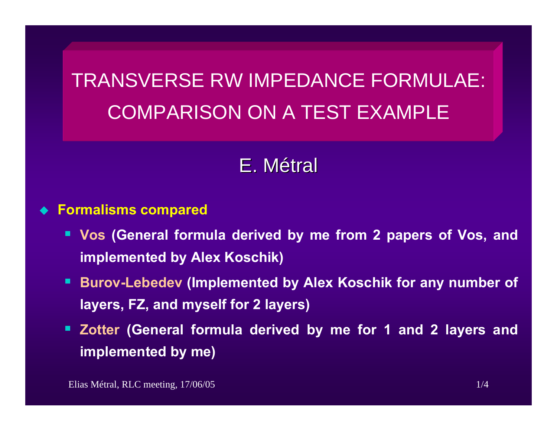# TRANSVERSE RW IMPEDANCE FORMULAE: COMPARISON ON A TEST EXAMPLE

## E.Métral

#### $\blacklozenge$ **Formalisms compared**

- **Vos (General formula derived by me from 2 papers of Vos, and implemented by Alex Koschik)**
- **Burov-Lebedev (Implemented by Alex Koschik for any number of layers, FZ, and myself for 2 layers)**
- **Zotter (General formula derived by me for 1 and 2 layers and implemented by me)**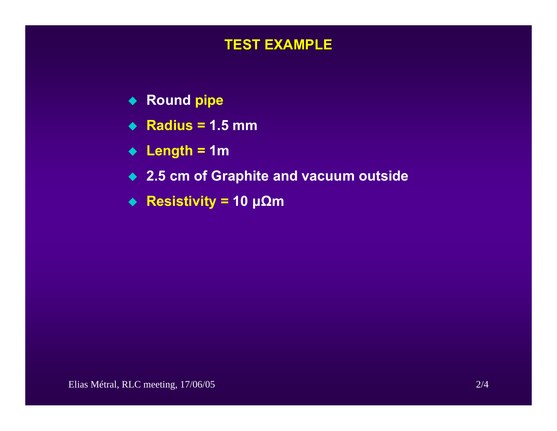## **TEST EXAMPLE TEST EXAMPLE**

- ◆ Round pipe
- **Radius = 1.5 mm**
- **Length = 1m**
- **2.5 cm of Graphite and vacuum outside**
- **Resistivity = 10 μΩ m**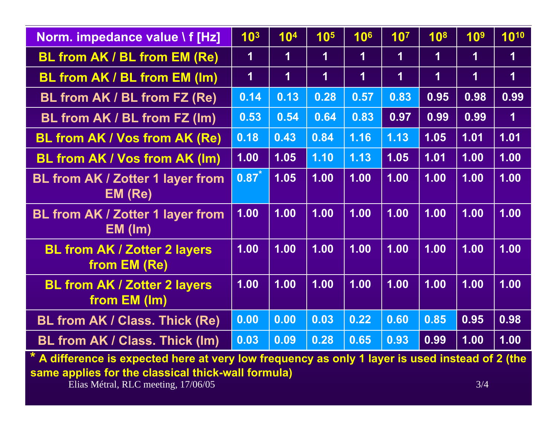| Norm. impedance value \f [Hz]                            | 10 <sup>3</sup>         | 10 <sup>4</sup>         | 10 <sup>5</sup>         | 10 <sup>6</sup> | 10 <sup>7</sup> | 10 <sup>8</sup>         | 10 <sup>9</sup>         | 1010                    |
|----------------------------------------------------------|-------------------------|-------------------------|-------------------------|-----------------|-----------------|-------------------------|-------------------------|-------------------------|
| <b>BL from AK / BL from EM (Re)</b>                      | $\overline{\mathbf{1}}$ | $\mathbf 1$             | 1                       | 1               | 1               | $\overline{\mathbf{1}}$ | $\blacktriangleleft$    | $\mathbf 1$             |
| <b>BL from AK / BL from EM (Im)</b>                      | $\overline{\mathbf{1}}$ | $\overline{\mathbf{1}}$ | $\overline{\mathbf{1}}$ | 1               | 1               | $\blacktriangleleft$    | $\overline{\mathbf{1}}$ | $\overline{\mathbf{1}}$ |
| BL from AK / BL from FZ (Re)                             | 0.14                    | 0.13                    | 0.28                    | 0.57            | 0.83            | 0.95                    | 0.98                    | 0.99                    |
| BL from AK / BL from FZ (Im)                             | 0.53                    | 0.54                    | 0.64                    | 0.83            | 0.97            | 0.99                    | 0.99                    | $\overline{\mathbf{1}}$ |
| <b>BL from AK / Vos from AK (Re)</b>                     | 0.18                    | 0.43                    | 0.84                    | 1.16            | 1.13            | 1.05                    | 1.01                    | 1.01                    |
| <b>BL from AK / Vos from AK (Im)</b>                     | 1.00                    | 1.05                    | 1.10                    | 1.13            | 1.05            | 1.01                    | 1.00                    | 1.00                    |
| <b>BL from AK / Zotter 1 layer from</b><br>EM (Re)       | 0.87                    | 1.05                    | 1.00                    | 1.00            | 1.00            | 1.00                    | 1.00                    | 1.00                    |
| <b>BL from AK / Zotter 1 layer from</b><br>$EM$ ( $lm$ ) | 1.00                    | 1.00                    | 1.00                    | 1.00            | 1.00            | 1.00                    | 1.00                    | 1.00                    |
| <b>BL from AK / Zotter 2 layers</b><br>from EM (Re)      | 1.00                    | 1.00                    | 1.00                    | 1.00            | 1.00            | 1.00                    | 1.00                    | 1.00                    |
| <b>BL from AK / Zotter 2 layers</b><br>from EM (Im)      | 1.00                    | 1.00                    | 1.00                    | 1.00            | 1.00            | 1.00                    | 1.00                    | 1.00                    |
| <b>BL from AK / Class. Thick (Re)</b>                    | 0.00                    | 0.00                    | 0.03                    | 0.22            | 0.60            | 0.85                    | 0.95                    | 0.98                    |
| <b>BL from AK / Class. Thick (Im)</b>                    | 0.03                    | 0.09                    | 0.28                    | 0.65            | 0.93            | 0.99                    | 1.00                    | 1.00                    |

**\* A difference is expected here at very low frequency as only 1 layer is used instead of 2 (the same applies for the classical thick-wall formula)** 

Elias Métral, RLC meeting, 17/06/05 3/4